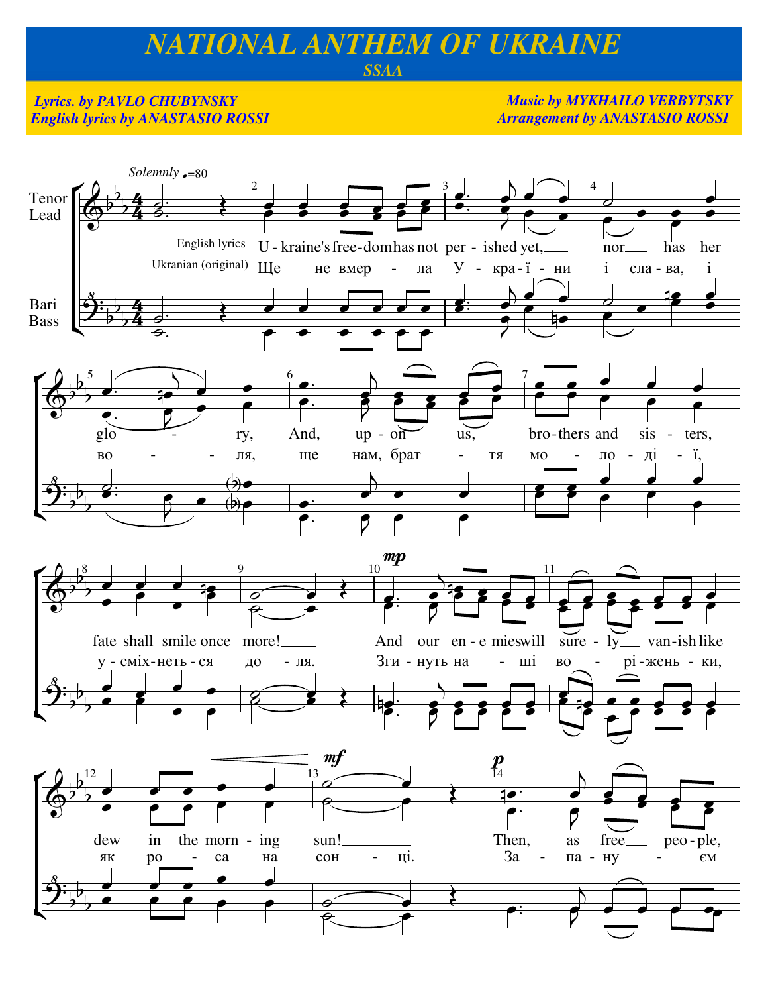## NATIONAL ANTHEM OF UKRAINE

## **SSAA**

## **Lyrics. by PAVLO CHUBYNSKY English lyrics by ANASTASIO ROSSI**

**Music by MYKHAILO VERBYTSKY Arrangement by ANASTASIO ROSSI** 

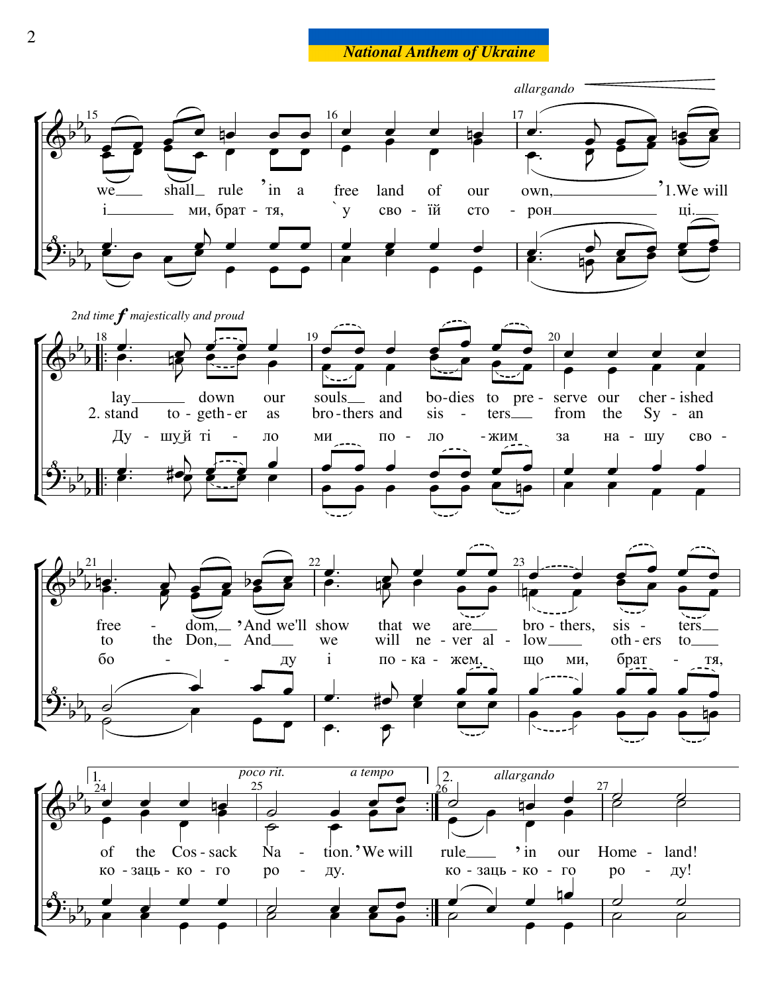**National Anthem of Ukraine**